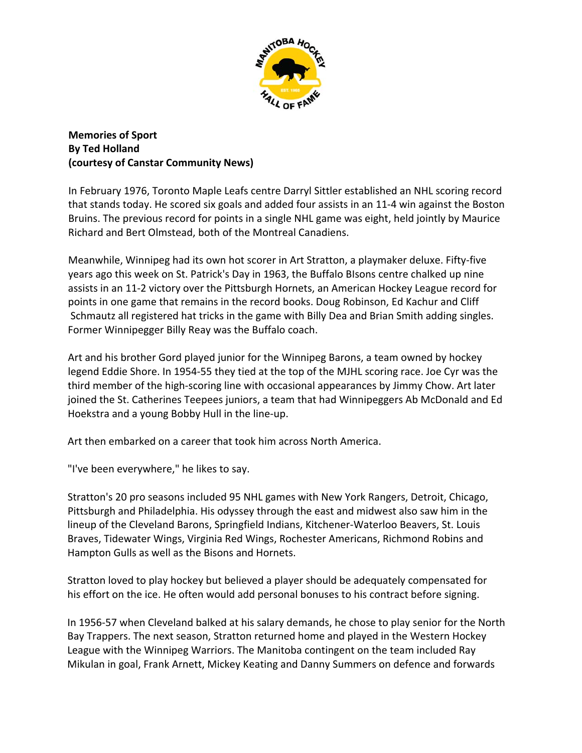

**Memories of Sport By Ted Holland (courtesy of Canstar Community News)**

In February 1976, Toronto Maple Leafs centre Darryl Sittler established an NHL scoring record that stands today. He scored six goals and added four assists in an 11‐4 win against the Boston Bruins. The previous record for points in a single NHL game was eight, held jointly by Maurice Richard and Bert Olmstead, both of the Montreal Canadiens.

Meanwhile, Winnipeg had its own hot scorer in Art Stratton, a playmaker deluxe. Fifty‐five years ago this week on St. Patrick's Day in 1963, the Buffalo BIsons centre chalked up nine assists in an 11‐2 victory over the Pittsburgh Hornets, an American Hockey League record for points in one game that remains in the record books. Doug Robinson, Ed Kachur and Cliff Schmautz all registered hat tricks in the game with Billy Dea and Brian Smith adding singles. Former Winnipegger Billy Reay was the Buffalo coach.

Art and his brother Gord played junior for the Winnipeg Barons, a team owned by hockey legend Eddie Shore. In 1954‐55 they tied at the top of the MJHL scoring race. Joe Cyr was the third member of the high‐scoring line with occasional appearances by Jimmy Chow. Art later joined the St. Catherines Teepees juniors, a team that had Winnipeggers Ab McDonald and Ed Hoekstra and a young Bobby Hull in the line‐up.

Art then embarked on a career that took him across North America.

"I've been everywhere," he likes to say.

Stratton's 20 pro seasons included 95 NHL games with New York Rangers, Detroit, Chicago, Pittsburgh and Philadelphia. His odyssey through the east and midwest also saw him in the lineup of the Cleveland Barons, Springfield Indians, Kitchener‐Waterloo Beavers, St. Louis Braves, Tidewater Wings, Virginia Red Wings, Rochester Americans, Richmond Robins and Hampton Gulls as well as the Bisons and Hornets.

Stratton loved to play hockey but believed a player should be adequately compensated for his effort on the ice. He often would add personal bonuses to his contract before signing.

In 1956‐57 when Cleveland balked at his salary demands, he chose to play senior for the North Bay Trappers. The next season, Stratton returned home and played in the Western Hockey League with the Winnipeg Warriors. The Manitoba contingent on the team included Ray Mikulan in goal, Frank Arnett, Mickey Keating and Danny Summers on defence and forwards